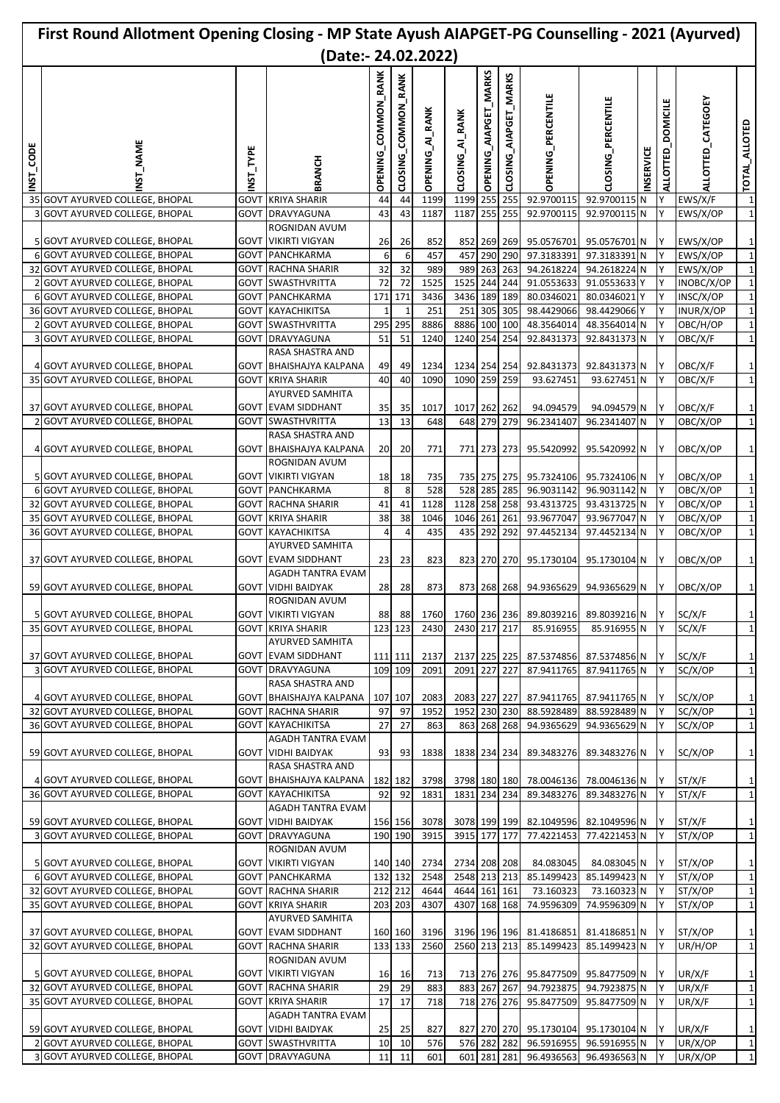|                  | First Round Allotment Opening Closing - MP State Ayush AIAPGET-PG Counselling - 2021 (Ayurved)                                        |              |                                                                                                       |                               |                               |                             |                                         |                            |                          |                                                      |                                                              |                 |                                    |                                                  |                                                              |
|------------------|---------------------------------------------------------------------------------------------------------------------------------------|--------------|-------------------------------------------------------------------------------------------------------|-------------------------------|-------------------------------|-----------------------------|-----------------------------------------|----------------------------|--------------------------|------------------------------------------------------|--------------------------------------------------------------|-----------------|------------------------------------|--------------------------------------------------|--------------------------------------------------------------|
|                  |                                                                                                                                       |              | (Date:- 24.02.2022)                                                                                   |                               |                               |                             |                                         |                            |                          |                                                      |                                                              |                 |                                    |                                                  |                                                              |
| CODE<br>LSL<br>K | <b>NST_NAME</b>                                                                                                                       | NST_TYPE     | <b>RANCH</b>                                                                                          | COMMON_RANK<br><b>OPENING</b> | COMMON_RANK<br><b>CLOSING</b> | OPENING_AI_RANK             | CLOSING_AI_RANK                         | OPENING_AIAPGET_MARKS      | AIAPGET_MARKS<br>CLOSING | <b>OPENING_PERCENTILE</b>                            | <b>CLOSING_PERCENTILE</b>                                    | <b>NSERVICE</b> | <b>DOMICILE</b><br><b>ALLOTTED</b> | ALLOTTED_CATEGOEY                                | TOTAL_ALLOTED                                                |
|                  | 35 GOVT AYURVED COLLEGE, BHOPAL                                                                                                       | GOVT         | <b>KRIYA SHARIR</b>                                                                                   | 44                            | 44                            | 1199                        | 1199                                    | 255                        | 255                      | 92.9700115                                           | 92.9700115 N                                                 |                 |                                    | EWS/X/F                                          | $\mathbf{1}$                                                 |
|                  | 3 GOVT AYURVED COLLEGE, BHOPAL<br>5 GOVT AYURVED COLLEGE, BHOPAL<br>6 GOVT AYURVED COLLEGE, BHOPAL                                    | <b>GOVT</b>  | DRAVYAGUNA<br>ROGNIDAN AVUM<br><b>GOVT VIKIRTI VIGYAN</b><br><b>GOVT PANCHKARMA</b>                   | 43<br>26<br>6                 | 43<br>26<br>6                 | 1187<br>852<br>457          | 1187<br>457                             | 255<br>852 269 269<br>290  | 255<br>290               | 92.9700115<br>95.0576701<br>97.3183391               | 92.9700115 N<br>95.0576701 N<br>97.3183391 N                 |                 | Y<br>Y<br>lY.                      | EWS/X/OP<br>EWS/X/OP<br>EWS/X/OP                 | 1<br>1<br>$\mathbf{1}$                                       |
|                  | 32 GOVT AYURVED COLLEGE, BHOPAL                                                                                                       | <b>GOVT</b>  | <b>RACHNA SHARIR</b>                                                                                  | 32                            | 32                            | 989                         | 989                                     | 263 263                    |                          | 94.2618224                                           | 94.2618224 N                                                 |                 | IY.                                | EWS/X/OP                                         | $\mathbf{1}$                                                 |
|                  | 2 GOVT AYURVED COLLEGE, BHOPAL<br>6 GOVT AYURVED COLLEGE, BHOPAL<br>36 GOVT AYURVED COLLEGE, BHOPAL<br>2 GOVT AYURVED COLLEGE, BHOPAL | GOVT<br>GOVT | <b>SWASTHVRITTA</b><br>GOVT PANCHKARMA<br><b>KAYACHIKITSA</b><br>GOVT SWASTHVRITTA                    | 72<br>171<br>295              | 72<br>171<br>295              | 1525<br>3436<br>251<br>8886 | 1525<br>3436 189<br>251<br>8886 100 100 | 244<br>305                 | 244<br>189<br>305        | 91.0553633<br>80.0346021<br>98.4429066<br>48.3564014 | 91.0553633 Y<br>80.0346021 Y<br>98.4429066 Y<br>48.3564014 N |                 | lY.<br>Y<br>Y<br>Y                 | INOBC/X/OP<br>INSC/X/OP<br>INUR/X/OP<br>OBC/H/OP | $\mathbf{1}$<br>$\mathbf{1}$<br>$\mathbf{1}$<br>$\mathbf{1}$ |
|                  | 3 GOVT AYURVED COLLEGE, BHOPAL                                                                                                        | GOVT         | DRAVYAGUNA                                                                                            | 51                            | 51                            | 1240                        | 1240 254                                |                            | 254                      | 92.8431373                                           | 92.8431373 N                                                 |                 | Y                                  | OBC/X/F                                          | $\mathbf{1}$                                                 |
|                  | 4 GOVT AYURVED COLLEGE, BHOPAL<br>35 GOVT AYURVED COLLEGE, BHOPAL                                                                     |              | RASA SHASTRA AND<br><b>GOVT BHAISHAJYA KALPANA</b><br><b>GOVT KRIYA SHARIR</b>                        | 49<br>40                      | 49<br>40                      | 1234<br>1090                | 1234 254 254<br>1090 259 259            |                            |                          | 92.8431373<br>93.627451                              | 92.8431373 N<br>93.627451 N                                  |                 | lΥ                                 | OBC/X/F<br>OBC/X/F                               | 1<br>1                                                       |
| 21               | 37 GOVT AYURVED COLLEGE, BHOPAL<br><b>GOVT AYURVED COLLEGE, BHOPAL</b>                                                                |              | <b>AYURVED SAMHITA</b><br><b>GOVT EVAM SIDDHANT</b><br>GOVT  SWASTHVRITTA                             | 35<br>13                      | 35<br>13                      | 1017<br>648                 | 1017 262 262                            | 648 279                    | 279                      | 94.094579<br>96.2341407                              | 94.094579 N<br>96.2341407 N                                  |                 | IY.<br>Y                           | OBC/X/F<br>OBC/X/OP                              | 1<br>$\mathbf{1}$                                            |
|                  | 4 GOVT AYURVED COLLEGE, BHOPAL                                                                                                        | GOVT         | RASA SHASTRA AND<br><b>BHAISHAJYA KALPANA</b><br>ROGNIDAN AVUM                                        | 20                            | 20                            | 771                         |                                         | 771 273 273                |                          | 95.5420992                                           | 95.5420992 N                                                 |                 | IY.                                | OBC/X/OP                                         | 1                                                            |
|                  | 5 GOVT AYURVED COLLEGE, BHOPAL                                                                                                        |              | GOVT   VIKIRTI VIGYAN                                                                                 | 18                            | 18                            | 735                         |                                         | 735 275 275                |                          | 95.7324106                                           | 95.7324106 N                                                 |                 |                                    | OBC/X/OP                                         | 1                                                            |
|                  | 6 GOVT AYURVED COLLEGE, BHOPAL<br>32 GOVT AYURVED COLLEGE, BHOPAL                                                                     | govt         | <b>GOVT PANCHKARMA</b><br><b>RACHNA SHARIR</b>                                                        | 8<br>41                       | 8<br>41                       | 528<br>1128                 | 1128                                    | 528 285 285<br>258 258     |                          | 96.9031142<br>93.4313725                             | 96.9031142 N<br>93.4313725 N                                 |                 | lΥ<br>Y                            | OBC/X/OP<br>OBC/X/OP                             | $\mathbf{1}$<br>$\mathbf{1}$                                 |
|                  | 35 GOVT AYURVED COLLEGE, BHOPAL                                                                                                       | GOVT         | <b>KRIYA SHARIR</b>                                                                                   | 38                            | 38                            | 1046                        | 1046                                    | 261                        | 261                      | 93.9677047                                           | 93.9677047 N                                                 |                 | Y                                  | OBC/X/OP                                         | $\mathbf{1}$                                                 |
|                  | 36 GOVT AYURVED COLLEGE, BHOPAL                                                                                                       |              | GOVT KAYACHIKITSA                                                                                     | 4                             | $\overline{4}$                | 435                         | 435                                     | 292                        | 292                      | 97.4452134                                           | 97.4452134 N                                                 |                 | Y                                  | OBC/X/OP                                         | $\mathbf{1}$                                                 |
|                  | 37 GOVT AYURVED COLLEGE, BHOPAL<br>59 GOVT AYURVED COLLEGE, BHOPAL                                                                    |              | <b>AYURVED SAMHITA</b><br><b>GOVT EVAM SIDDHANT</b><br>AGADH TANTRA EVAM<br><b>GOVT VIDHI BAIDYAK</b> | 23<br>28                      | 23<br>28                      | 823<br>873                  |                                         | 823 270 270<br>873 268 268 |                          | 95.1730104<br>94.9365629                             | 95.1730104 N<br>94.9365629 N                                 |                 | IY.<br>Y                           | OBC/X/OP<br>OBC/X/OP                             | 1<br>1                                                       |
|                  | 5 GOVT AYURVED COLLEGE, BHOPAL                                                                                                        |              | ROGNIDAN AVUM<br><b>GOVT VIKIRTI VIGYAN</b>                                                           | 88                            | 88                            |                             | 1760 1760 236 236                       |                            |                          | 89.8039216                                           | 89.8039216 N                                                 |                 | IY.                                | SC/X/F                                           | $\mathbf{1}$                                                 |
|                  | 35 GOVT AYURVED COLLEGE, BHOPAL                                                                                                       |              | <b>GOVT KRIYA SHARIR</b><br>AYURVED SAMHITA                                                           | 123                           | 123                           | 2430                        | 2430 217 217                            |                            |                          | 85.916955                                            | 85.916955 N                                                  |                 | IY                                 | SC/X/F                                           | $\mathbf{1}$                                                 |
|                  | 37 GOVT AYURVED COLLEGE, BHOPAL<br>3 GOVT AYURVED COLLEGE, BHOPAL                                                                     |              | <b>GOVT EVAM SIDDHANT</b><br><b>GOVT DRAVYAGUNA</b>                                                   |                               | 111 111<br>109 109            | 2137<br>2091                | 2137 225 225<br>2091 227                |                            | 227                      | 87.5374856<br>87.9411765                             | 87.5374856 N<br>87.9411765 N                                 |                 | IY<br>Y                            | SC/X/F<br>SC/X/OP                                | $\mathbf{1}$<br>1                                            |
|                  | 4 GOVT AYURVED COLLEGE, BHOPAL                                                                                                        |              | RASA SHASTRA AND<br><b>GOVT BHAISHAJYA KALPANA</b>                                                    |                               | 107 107                       | 2083                        | 2083 227 227                            |                            |                          | 87.9411765                                           | 87.9411765 N                                                 |                 | IY                                 | SC/X/OP                                          | 1                                                            |
|                  | 32 GOVT AYURVED COLLEGE, BHOPAL                                                                                                       |              | <b>GOVT RACHNA SHARIR</b>                                                                             | 97                            | 97                            | 1952                        | 1952 230 230                            |                            |                          | 88.5928489                                           | 88.5928489 N                                                 |                 | lY.                                | SC/X/OP                                          | $\mathbf{1}$                                                 |
|                  | 36 GOVT AYURVED COLLEGE, BHOPAL                                                                                                       |              | <b>GOVT KAYACHIKITSA</b><br>AGADH TANTRA EVAM                                                         | 27                            | 27                            | 863                         |                                         | 863 268 268                |                          | 94.9365629                                           | 94.9365629 N                                                 |                 | IY.                                | SC/X/OP                                          | $\mathbf{1}$                                                 |
|                  | 59 GOVT AYURVED COLLEGE, BHOPAL                                                                                                       |              | <b>GOVT VIDHI BAIDYAK</b><br>RASA SHASTRA AND                                                         | 93                            | 93                            | 1838                        | 1838 234 234                            |                            |                          | 89.3483276                                           | 89.3483276 N                                                 |                 | IY.                                | SC/X/OP                                          | 1                                                            |
|                  | 4 GOVT AYURVED COLLEGE, BHOPAL                                                                                                        |              | <b>GOVT BHAISHAJYA KALPANA</b>                                                                        | 182                           | 182                           | 3798                        | 3798 180 180                            |                            |                          | 78.0046136                                           | 78.0046136 N                                                 |                 | IY.                                | ST/X/F                                           | 1                                                            |
|                  | 36 GOVT AYURVED COLLEGE, BHOPAL                                                                                                       |              | <b>GOVT KAYACHIKITSA</b><br>AGADH TANTRA EVAM                                                         | 92                            | 92                            | 1831                        | 1831 234 234                            |                            |                          | 89.3483276                                           | 89.3483276 N                                                 |                 | I٢.                                | ST/X/F                                           | 1                                                            |
|                  | 59 GOVT AYURVED COLLEGE, BHOPAL<br>3 GOVT AYURVED COLLEGE, BHOPAL                                                                     |              | <b>GOVT VIDHI BAIDYAK</b><br><b>GOVT DRAVYAGUNA</b>                                                   |                               | 156 156<br>190 190            | 3078<br>3915                | 3078 199 199<br>3915 177 177            |                            |                          | 82.1049596<br>77.4221453                             | 82.1049596 N<br>77.4221453 N                                 |                 | IY.<br>IY.                         | ST/X/F<br>ST/X/OP                                | $\mathbf{1}$<br>$\mathbf{1}$                                 |
|                  | 5 GOVT AYURVED COLLEGE, BHOPAL                                                                                                        |              | ROGNIDAN AVUM<br><b>GOVT VIKIRTI VIGYAN</b>                                                           |                               | 140 140                       | 2734                        | 2734 208 208                            |                            |                          | 84.083045                                            | 84.083045 N                                                  |                 | IY.                                | ST/X/OP                                          | 1                                                            |
|                  | 6 GOVT AYURVED COLLEGE, BHOPAL                                                                                                        |              | <b>GOVT PANCHKARMA</b>                                                                                |                               | 132 132                       | 2548                        | 2548 213 213                            |                            |                          | 85.1499423                                           | 85.1499423 N                                                 |                 | ΙY                                 | ST/X/OP                                          | $\mathbf{1}$                                                 |
|                  | 32 GOVT AYURVED COLLEGE, BHOPAL                                                                                                       |              | <b>GOVT RACHNA SHARIR</b>                                                                             |                               | 212 212                       | 4644                        | 4644 161 161                            |                            |                          | 73.160323                                            | 73.160323 N                                                  |                 | IY.                                | ST/X/OP                                          | $\mathbf{1}$                                                 |
|                  | 35 GOVT AYURVED COLLEGE, BHOPAL                                                                                                       | GOVT         | <b>KRIYA SHARIR</b><br>AYURVED SAMHITA                                                                |                               | 203 203                       | 4307                        | 4307                                    | 168 168                    |                          | 74.9596309                                           | 74.9596309 N                                                 |                 | IY                                 | ST/X/OP                                          | $\mathbf{1}$                                                 |
|                  | 37 GOVT AYURVED COLLEGE, BHOPAL                                                                                                       |              | <b>GOVT EVAM SIDDHANT</b>                                                                             |                               | 160 160                       | 3196                        | 3196 196 196                            |                            |                          | 81.4186851                                           | 81.4186851 N                                                 |                 | IY.                                | ST/X/OP                                          | $\mathbf{1}$                                                 |
|                  | 32 GOVT AYURVED COLLEGE, BHOPAL<br>5 GOVT AYURVED COLLEGE, BHOPAL                                                                     |              | <b>GOVT RACHNA SHARIR</b><br>ROGNIDAN AVUM<br><b>GOVT VIKIRTI VIGYAN</b>                              | 16                            | 133 133<br>16                 | 2560<br>713                 | 2560 213 213                            | 713 276 276                |                          | 85.1499423<br>95.8477509                             | 85.1499423 N<br>95.8477509 N                                 |                 | IY<br>IY                           | UR/H/OP<br>UR/X/F                                | 1<br>$\mathbf{1}$                                            |
|                  | 32 GOVT AYURVED COLLEGE, BHOPAL                                                                                                       |              | <b>GOVT RACHNA SHARIR</b>                                                                             | 29                            | 29                            | 883                         |                                         | 883 267 267                |                          | 94.7923875                                           | 94.7923875 N                                                 |                 | Y                                  | UR/X/F                                           | 1                                                            |
|                  | 35 GOVT AYURVED COLLEGE, BHOPAL                                                                                                       |              | GOVT KRIYA SHARIR<br>AGADH TANTRA EVAM                                                                | 17                            | 17                            | 718                         |                                         | 718 276 276                |                          | 95.8477509                                           | 95.8477509 N                                                 |                 | IY                                 | UR/X/F                                           | 1                                                            |
|                  | 59 GOVT AYURVED COLLEGE, BHOPAL<br>2 GOVT AYURVED COLLEGE, BHOPAL                                                                     |              | <b>GOVT VIDHI BAIDYAK</b><br><b>GOVT SWASTHVRITTA</b>                                                 | 25<br>10                      | 25<br>10                      | 827<br>576                  |                                         | 827 270 270<br>576 282 282 |                          | 95.1730104<br>96.5916955                             | 95.1730104 N<br>96.5916955 N                                 |                 | IY.<br>Y                           | UR/X/F<br>UR/X/OP                                | $\mathbf{1}$<br>1                                            |
|                  | 3 GOVT AYURVED COLLEGE, BHOPAL                                                                                                        |              | <b>GOVT DRAVYAGUNA</b>                                                                                | 11                            | 11                            | 601                         |                                         | 601 281 281                |                          | 96.4936563                                           | 96.4936563 N                                                 |                 | Y                                  | UR/X/OP                                          | $\mathbf{1}$                                                 |
|                  |                                                                                                                                       |              |                                                                                                       |                               |                               |                             |                                         |                            |                          |                                                      |                                                              |                 |                                    |                                                  |                                                              |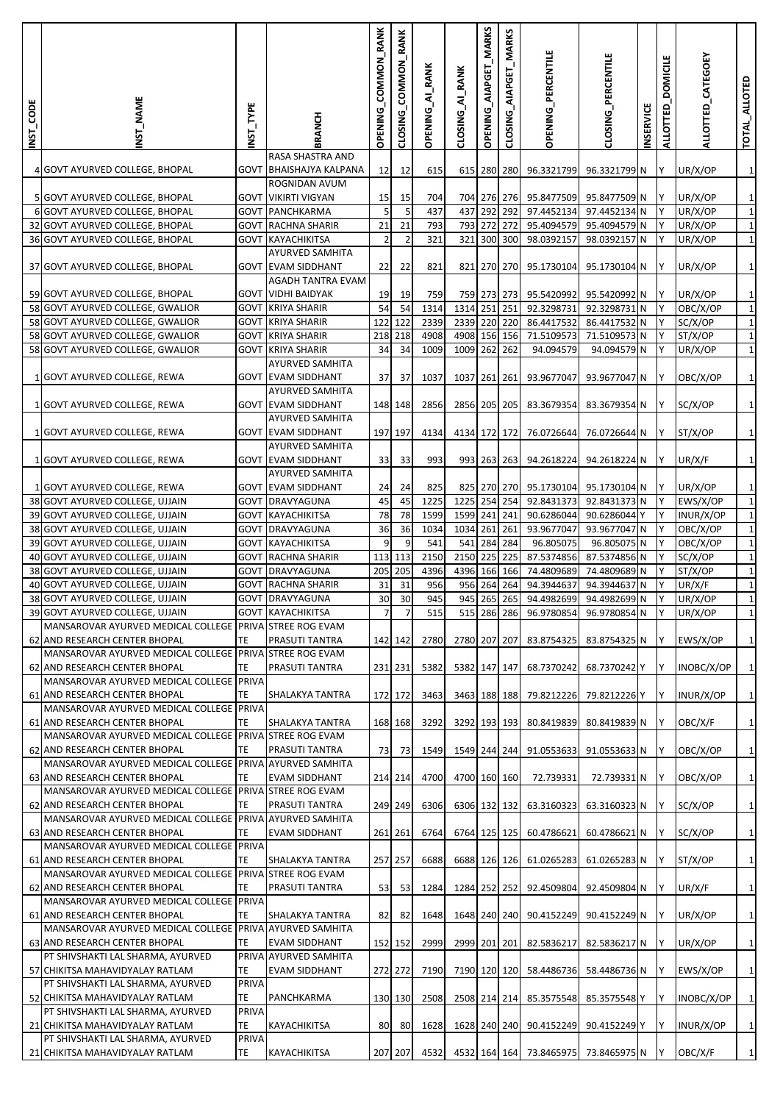| <b>INST_CODE</b> | NST_NAME                                                                                 | NST_TYPE     | BRANCH                                         | OPENING_COMMON_RANK | COMMON_RANK<br>CLOSING | OPENING_AI_RANK | CLOSING_AI_RANK | OPENING_AIAPGET_MARKS  | AIAPGET_MARKS<br>CLOSING | OPENING_PERCENTILE       | CLOSING_PERCENTILE           | <b>NSERVICE</b> | <b>DOMICILE</b><br><b>ALLOTTED</b> | ALLOTTED_CATEGOEY   | TOTAL_ALLOTED              |
|------------------|------------------------------------------------------------------------------------------|--------------|------------------------------------------------|---------------------|------------------------|-----------------|-----------------|------------------------|--------------------------|--------------------------|------------------------------|-----------------|------------------------------------|---------------------|----------------------------|
|                  | 4 GOVT AYURVED COLLEGE, BHOPAL                                                           | GOVT         | RASA SHASTRA AND<br><b>BHAISHAJYA KALPANA</b>  | 12                  | 12                     | 615             |                 | 615 280 280            |                          | 96.3321799               | 96.3321799 N                 |                 | Υ                                  | UR/X/OP             | $\mathbf{1}$               |
|                  |                                                                                          |              | ROGNIDAN AVUM                                  |                     |                        |                 |                 |                        |                          |                          |                              |                 |                                    |                     |                            |
|                  | 5 GOVT AYURVED COLLEGE, BHOPAL<br>6 GOVT AYURVED COLLEGE, BHOPAL                         | GOVT<br>GOVT | <b>VIKIRTI VIGYAN</b><br>PANCHKARMA            | 15<br>5             | 15<br>5                | 704<br>437      | 437             | 704 276 276<br>292 292 |                          | 95.8477509<br>97.4452134 | 95.8477509 N<br>97.4452134 N |                 | Y<br>Y                             | UR/X/OP<br>UR/X/OP  | $\mathbf 1$<br>$\mathbf 1$ |
|                  | 32 GOVT AYURVED COLLEGE, BHOPAL                                                          | <b>GOVT</b>  | <b>RACHNA SHARIR</b>                           | 21                  | 21                     | 793             | 793             | 272                    | 272                      | 95.4094579               | 95.4094579 N                 |                 | Y                                  | UR/X/OP             | $\mathbf{1}$               |
|                  | 36 GOVT AYURVED COLLEGE, BHOPAL                                                          |              | <b>GOVT KAYACHIKITSA</b>                       | $\overline{2}$      | $\overline{2}$         | 321             |                 | 321 300 300            |                          | 98.0392157               | 98.0392157 N                 |                 | Y                                  | UR/X/OP             | $\mathbf 1$                |
|                  |                                                                                          |              | AYURVED SAMHITA                                |                     |                        |                 |                 |                        |                          |                          |                              |                 |                                    |                     |                            |
|                  | 37 GOVT AYURVED COLLEGE, BHOPAL                                                          |              | <b>GOVT EVAM SIDDHANT</b><br>AGADH TANTRA EVAM | 22                  | 22                     | 821             |                 |                        |                          | 821 270 270 95.1730104   | 95.1730104 N                 |                 | Y                                  | UR/X/OP             | $\mathbf 1$                |
|                  | 59 GOVT AYURVED COLLEGE, BHOPAL                                                          |              | <b>GOVT VIDHI BAIDYAK</b>                      | 19                  | 19                     | 759             |                 | 759 273 273            |                          | 95.5420992               | 95.5420992 N                 |                 |                                    | UR/X/OP             | $\mathbf 1$                |
|                  | 58 GOVT AYURVED COLLEGE, GWALIOR                                                         | GOVT         | <b>KRIYA SHARIR</b>                            | 54                  | 54                     | 1314            | 1314            | 251 251                |                          | 92.3298731               | 92.3298731 N                 |                 | Y                                  | OBC/X/OP            | $\mathbf 1$                |
|                  | 58 GOVT AYURVED COLLEGE, GWALIOR                                                         | GOVT         | <b>KRIYA SHARIR</b>                            | 122                 | 122                    | 2339            | 2339            | 220 220                |                          | 86.4417532               | 86.4417532 N                 |                 | Y                                  | SC/X/OP             | $\mathbf 1$                |
|                  | 58 GOVT AYURVED COLLEGE, GWALIOR                                                         | <b>GOVT</b>  | <b>KRIYA SHARIR</b>                            |                     | 218 218                | 4908            | 4908 156 156    |                        |                          | 71.5109573               | 71.5109573 N                 |                 | Y                                  | ST/X/OP             | $\mathbf{1}$               |
|                  | 58 GOVT AYURVED COLLEGE, GWALIOR                                                         | <b>GOVT</b>  | <b>KRIYA SHARIR</b>                            | 34                  | 34                     | 1009            | 1009            | 262 262                |                          | 94.094579                | 94.094579 N                  |                 | Υ                                  | UR/X/OP             | $\mathbf 1$                |
|                  | 1 GOVT AYURVED COLLEGE, REWA                                                             |              | AYURVED SAMHITA<br><b>GOVT EVAM SIDDHANT</b>   | 37                  | 37                     | 1037            | 1037 261 261    |                        |                          | 93.9677047               | 93.9677047 N                 |                 | ΙY                                 | OBC/X/OP            | $\mathbf 1$                |
|                  |                                                                                          |              | AYURVED SAMHITA                                |                     |                        |                 |                 |                        |                          |                          |                              |                 |                                    |                     |                            |
|                  | 1 GOVT AYURVED COLLEGE, REWA                                                             |              | <b>GOVT EVAM SIDDHANT</b>                      |                     | 148 148                | 2856            | 2856 205 205    |                        |                          | 83.3679354               | 83.3679354 N                 |                 | Y                                  | SC/X/OP             | $\mathbf 1$                |
|                  |                                                                                          |              | AYURVED SAMHITA                                |                     |                        |                 |                 |                        |                          |                          |                              |                 |                                    |                     |                            |
|                  | 1 GOVT AYURVED COLLEGE, REWA                                                             |              | <b>GOVT EVAM SIDDHANT</b>                      |                     | 197 197                | 4134            | 4134 172 172    |                        |                          | 76.0726644               | 76.0726644 N                 |                 | I٢                                 | ST/X/OP             | $\mathbf{1}$               |
|                  | 1 GOVT AYURVED COLLEGE, REWA                                                             |              | AYURVED SAMHITA<br><b>GOVT EVAM SIDDHANT</b>   | 33                  | 33                     | 993             |                 | 993 263 263            |                          | 94.2618224               | 94.2618224 N                 |                 | Y                                  | UR/X/F              | $\mathbf 1$                |
|                  |                                                                                          |              | AYURVED SAMHITA                                |                     |                        |                 |                 |                        |                          |                          |                              |                 |                                    |                     |                            |
|                  | 1 GOVT AYURVED COLLEGE, REWA                                                             |              | <b>GOVT EVAM SIDDHANT</b>                      | 24                  | 24                     | 825             |                 |                        |                          | 825 270 270 95.1730104   | 95.1730104 N                 |                 | Y                                  | UR/X/OP             | $\mathbf{1}$               |
|                  | 38 GOVT AYURVED COLLEGE, UJJAIN                                                          |              | GOVT DRAVYAGUNA                                | 45                  | 45                     | 1225            | 1225 254 254    |                        |                          | 92.8431373               | 92.8431373 N                 |                 | Y                                  | EWS/X/OP            | $\mathbf 1$                |
|                  | 39 GOVT AYURVED COLLEGE, UJJAIN                                                          | <b>GOVT</b>  | <b>KAYACHIKITSA</b>                            | 78                  | 78                     | 1599            | 1599            | 241 241                |                          | 90.6286044               | 90.6286044 Y                 |                 | Y                                  | INUR/X/OP           | $\mathbf{1}$               |
|                  | 38 GOVT AYURVED COLLEGE, UJJAIN                                                          | GOVT         | DRAVYAGUNA                                     | 36                  | 36                     | 1034            | 1034 261 261    |                        |                          | 93.9677047               | 93.9677047 N                 |                 | Υ                                  | OBC/X/OP            | $\mathbf 1$                |
|                  | 39 GOVT AYURVED COLLEGE, UJJAIN                                                          | GOVT         | <b>KAYACHIKITSA</b>                            | 9                   | 9<br>113 113           | 541<br>2150     | 541<br>2150 225 | 284                    | 284<br>225               | 96.805075<br>87.5374856  | 96.805075 N<br>87.5374856 N  |                 | Υ<br>Υ                             | OBC/X/OP<br>SC/X/OP | $\mathbf 1$<br>$\mathbf 1$ |
|                  | 40 GOVT AYURVED COLLEGE, UJJAIN<br>38 GOVT AYURVED COLLEGE, UJJAIN                       | GOVT<br>GOVT | <b>RACHNA SHARIR</b><br>DRAVYAGUNA             |                     | 205 205                | 4396            | 4396 166 166    |                        |                          | 74.4809689               | 74.4809689 N                 |                 | Y                                  | ST/X/OP             | $\mathbf 1$                |
|                  | 40 GOVT AYURVED COLLEGE, UJJAIN                                                          | GOVT         | <b>RACHNA SHARIR</b>                           | 31                  | 31                     | 956             | 956             | 264                    | 264                      | 94.3944637               | 94.3944637 N                 |                 | Y                                  | UR/X/F              | $\mathbf{1}$               |
|                  | 38 GOVT AYURVED COLLEGE, UJJAIN                                                          | GOVT         | DRAVYAGUNA                                     | 30                  | 30                     | 945             | 945             | 265                    | 265                      | 94.4982699               | 94.4982699 N                 |                 | Υ                                  | UR/X/OP             | $\mathbf 1$                |
|                  | 39 GOVT AYURVED COLLEGE, UJJAIN                                                          |              | <b>GOVT KAYACHIKITSA</b>                       | $\overline{7}$      | 71                     | 515             |                 |                        |                          | 515 286 286 96.9780854   | 96.9780854 N                 |                 |                                    | UR/X/OP             | $\mathbf{1}$               |
|                  | MANSAROVAR AYURVED MEDICAL COLLEGE PRIVA STREE ROG EVAM                                  |              |                                                |                     |                        |                 |                 |                        |                          |                          |                              |                 |                                    |                     |                            |
|                  | 62 AND RESEARCH CENTER BHOPAL<br>MANSAROVAR AYURVED MEDICAL COLLEGE PRIVA STREE ROG EVAM | TE           | PRASUTI TANTRA                                 |                     | 142 142                | 2780            | 2780 207 207    |                        |                          | 83.8754325               | 83.8754325 N                 |                 |                                    | EWS/X/OP            | $\mathbf 1$                |
|                  | 62 AND RESEARCH CENTER BHOPAL                                                            | TE           | PRASUTI TANTRA                                 |                     | 231 231                | 5382            | 5382 147 147    |                        |                          | 68.7370242               | 68.7370242 Y                 |                 | Y                                  | INOBC/X/OP          | $\mathbf{1}$               |
|                  | MANSAROVAR AYURVED MEDICAL COLLEGE PRIVA                                                 |              |                                                |                     |                        |                 |                 |                        |                          |                          |                              |                 |                                    |                     |                            |
|                  | 61 AND RESEARCH CENTER BHOPAL                                                            | TE           | SHALAKYA TANTRA                                | 172 172             |                        | 3463            | 3463 188 188    |                        |                          | 79.8212226               | 79.8212226 Y                 |                 | Υ                                  | INUR/X/OP           | $\mathbf{1}$               |
|                  | MANSAROVAR AYURVED MEDICAL COLLEGE PRIVA                                                 |              |                                                |                     |                        |                 |                 |                        |                          |                          |                              |                 |                                    |                     |                            |
|                  | 61 AND RESEARCH CENTER BHOPAL<br>MANSAROVAR AYURVED MEDICAL COLLEGE PRIVA STREE ROG EVAM | TE           | SHALAKYA TANTRA                                |                     | 168 168                | 3292            | 3292 193 193    |                        |                          | 80.8419839               | 80.8419839 N                 |                 | Y                                  | OBC/X/F             | $\mathbf 1$                |
|                  | 62 AND RESEARCH CENTER BHOPAL                                                            | TE           | PRASUTI TANTRA                                 | 73                  | 73                     | 1549            | 1549 244 244    |                        |                          | 91.0553633               | 91.0553633 N                 |                 |                                    | OBC/X/OP            | $\mathbf 1$                |
|                  | MANSAROVAR AYURVED MEDICAL COLLEGE PRIVA                                                 |              | <b>AYURVED SAMHITA</b>                         |                     |                        |                 |                 |                        |                          |                          |                              |                 |                                    |                     |                            |
|                  | 63 AND RESEARCH CENTER BHOPAL                                                            | TE           | <b>EVAM SIDDHANT</b>                           |                     | 214 214                | 4700            | 4700 160 160    |                        |                          | 72.739331                | 72.739331 N                  |                 | Y                                  | OBC/X/OP            | $\mathbf 1$                |
|                  | MANSAROVAR AYURVED MEDICAL COLLEGE PRIVA STREE ROG EVAM                                  |              |                                                |                     |                        |                 |                 |                        |                          |                          |                              |                 |                                    |                     |                            |
|                  | 62 AND RESEARCH CENTER BHOPAL                                                            | TE           | PRASUTI TANTRA                                 |                     | 249 249                | 6306            | 6306 132 132    |                        |                          | 63.3160323               | 63.3160323 N                 |                 | Υ                                  | SC/X/OP             | $\mathbf 1$                |
|                  | MANSAROVAR AYURVED MEDICAL COLLEGE PRIVA<br>63 AND RESEARCH CENTER BHOPAL                | TE           | <b>AYURVED SAMHITA</b><br><b>EVAM SIDDHANT</b> |                     | 261 261                | 6764            | 6764 125 125    |                        |                          | 60.4786621               | 60.4786621 N                 |                 | Y                                  | SC/X/OP             | $\mathbf 1$                |
|                  | MANSAROVAR AYURVED MEDICAL COLLEGE PRIVA                                                 |              |                                                |                     |                        |                 |                 |                        |                          |                          |                              |                 |                                    |                     |                            |
|                  | 61 AND RESEARCH CENTER BHOPAL                                                            | TE           | SHALAKYA TANTRA                                | 257 257             |                        | 6688            | 6688 126 126    |                        |                          | 61.0265283               | 61.0265283 N                 |                 |                                    | ST/X/OP             | $\mathbf 1$                |
|                  | MANSAROVAR AYURVED MEDICAL COLLEGE PRIVA                                                 |              | <b>STREE ROG EVAM</b>                          |                     |                        |                 |                 |                        |                          |                          |                              |                 |                                    |                     |                            |
|                  | 62 AND RESEARCH CENTER BHOPAL                                                            | TE           | PRASUTI TANTRA                                 | 53                  | 53                     | 1284            | 1284 252 252    |                        |                          | 92.4509804               | 92.4509804 N                 |                 | Y                                  | UR/X/F              | $\mathbf 1$                |
|                  | MANSAROVAR AYURVED MEDICAL COLLEGE PRIVA<br>61 AND RESEARCH CENTER BHOPAL                | TE           | SHALAKYA TANTRA                                | 82                  | 82                     | 1648            | 1648 240 240    |                        |                          | 90.4152249               | 90.4152249 N                 |                 | Y                                  | UR/X/OP             | $\mathbf 1$                |
|                  | MANSAROVAR AYURVED MEDICAL COLLEGE                                                       |              | PRIVA AYURVED SAMHITA                          |                     |                        |                 |                 |                        |                          |                          |                              |                 |                                    |                     |                            |
|                  | 63 AND RESEARCH CENTER BHOPAL                                                            | TE           | <b>EVAM SIDDHANT</b>                           |                     | 152 152                | 2999            | 2999 201 201    |                        |                          | 82.5836217               | 82.5836217 N                 |                 | Y                                  | UR/X/OP             | $\mathbf 1$                |
|                  | PT SHIVSHAKTI LAL SHARMA, AYURVED                                                        |              | PRIVA AYURVED SAMHITA                          |                     |                        |                 |                 |                        |                          |                          |                              |                 |                                    |                     |                            |
|                  | 57 CHIKITSA MAHAVIDYALAY RATLAM                                                          | TE           | <b>EVAM SIDDHANT</b>                           |                     | 272 272                | 7190            | 7190 120 120    |                        |                          | 58.4486736               | 58.4486736 N                 |                 |                                    | EWS/X/OP            | $\mathbf 1$                |
|                  | PT SHIVSHAKTI LAL SHARMA, AYURVED<br>52 CHIKITSA MAHAVIDYALAY RATLAM                     | PRIVA<br>TE  | PANCHKARMA                                     |                     |                        |                 |                 |                        |                          |                          |                              |                 | Y                                  |                     | $\mathbf{1}$               |
|                  | PT SHIVSHAKTI LAL SHARMA, AYURVED                                                        | PRIVA        |                                                |                     | 130 130                | 2508            | 2508 214 214    |                        |                          | 85.3575548               | 85.3575548 Y                 |                 |                                    | INOBC/X/OP          |                            |
|                  | 21 CHIKITSA MAHAVIDYALAY RATLAM                                                          | TE           | <b>KAYACHIKITSA</b>                            | 80                  | 80                     | 1628            | 1628 240 240    |                        |                          | 90.4152249               | 90.4152249 Y                 |                 | Υ                                  | INUR/X/OP           | $\mathbf{1}$               |
|                  | PT SHIVSHAKTI LAL SHARMA, AYURVED                                                        | PRIVA        |                                                |                     |                        |                 |                 |                        |                          |                          |                              |                 |                                    |                     |                            |
|                  | 21 CHIKITSA MAHAVIDYALAY RATLAM                                                          | TE.          | KAYACHIKITSA                                   |                     | 207 207                | 4532            |                 |                        |                          | 4532 164 164 73.8465975  | 73.8465975 N                 |                 |                                    | OBC/X/F             | $\mathbf 1$                |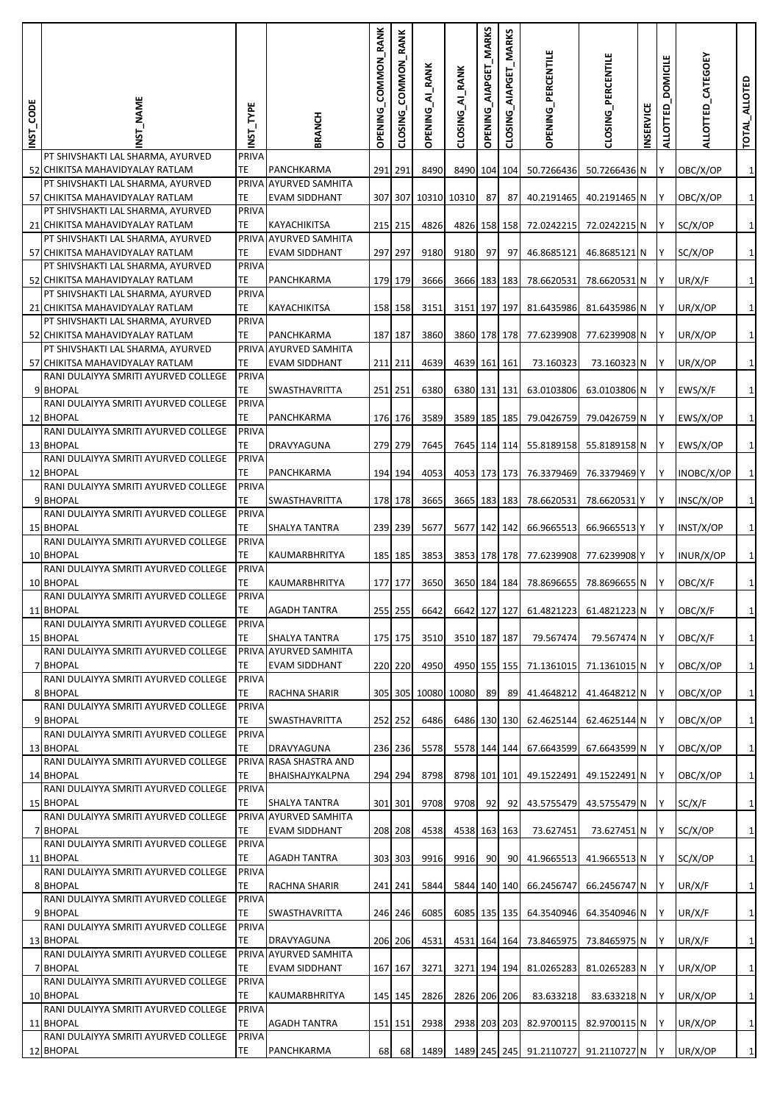| INST_CODE | <b>NAME</b>                                                          | NST_TYPE     | BRANCH                                        | OPENING_COMMON_RANK | RANK<br><b>COMMON</b><br>CLOSING | <b>OPENING_AI_RANK</b> | CLOSING_AI_RANK | OPENING_AIAPGET_MARKS | <b>MARKS</b><br>CLOSING_AIAPGET | OPENING_PERCENTILE                   | CLOSING_PERCENTILE | <b>NSERVICE</b> | <b>DOMICILE</b><br>ALLOTTED | ALLOTTED_CATEGOEY | TOTAL_ALLOTED |
|-----------|----------------------------------------------------------------------|--------------|-----------------------------------------------|---------------------|----------------------------------|------------------------|-----------------|-----------------------|---------------------------------|--------------------------------------|--------------------|-----------------|-----------------------------|-------------------|---------------|
|           | PT SHIVSHAKTI LAL SHARMA, AYURVED<br>52 CHIKITSA MAHAVIDYALAY RATLAM | PRIVA<br>TE  | PANCHKARMA                                    | 291 291             |                                  | 8490                   | 8490 104 104    |                       |                                 |                                      | 50.7266436 N       |                 |                             |                   | $\mathbf{1}$  |
|           | PT SHIVSHAKTI LAL SHARMA, AYURVED                                    |              | PRIVA AYURVED SAMHITA                         |                     |                                  |                        |                 |                       |                                 | 50.7266436                           |                    |                 |                             | OBC/X/OP          |               |
|           | 57 CHIKITSA MAHAVIDYALAY RATLAM                                      | TE<br>PRIVA  | <b>EVAM SIDDHANT</b>                          |                     |                                  | 307 307 10310 10310    |                 | 87                    | -87                             | 40.2191465                           | 40.2191465 N       |                 | ΙY                          | OBC/X/OP          | $\mathbf 1$   |
|           | PT SHIVSHAKTI LAL SHARMA, AYURVED<br>21 CHIKITSA MAHAVIDYALAY RATLAM | TE           | KAYACHIKITSA                                  |                     | 215 215                          | 4826                   | 4826 158 158    |                       |                                 | 72.0242215                           | 72.0242215 N       |                 | Y                           | SC/X/OP           | $\mathbf 1$   |
|           | PT SHIVSHAKTI LAL SHARMA, AYURVED                                    | PRIVA        | <b>AYURVED SAMHITA</b>                        |                     |                                  |                        |                 |                       |                                 |                                      |                    |                 |                             |                   |               |
|           | 57 CHIKITSA MAHAVIDYALAY RATLAM<br>PT SHIVSHAKTI LAL SHARMA, AYURVED | TE<br>PRIVA  | <b>EVAM SIDDHANT</b>                          |                     | 297 297                          | 9180                   | 9180            | 97                    | 97                              | 46.8685121                           | 46.8685121 N       |                 | IY.                         | SC/X/OP           | $\mathbf{1}$  |
|           | 52 CHIKITSA MAHAVIDYALAY RATLAM                                      | TE           | PANCHKARMA                                    |                     | 179 179                          | 3666                   | 3666 183 183    |                       |                                 | 78.6620531                           | 78.6620531 N       |                 | Y                           | UR/X/F            | $\mathbf{1}$  |
|           | PT SHIVSHAKTI LAL SHARMA, AYURVED<br>21 CHIKITSA MAHAVIDYALAY RATLAM | PRIVA<br>TE. | KAYACHIKITSA                                  |                     | 158 158                          | 3151                   | 3151 197 197    |                       |                                 | 81.6435986                           | 81.6435986 N       |                 | IY                          | UR/X/OP           | $\mathbf{1}$  |
|           | PT SHIVSHAKTI LAL SHARMA, AYURVED                                    | PRIVA        |                                               |                     |                                  |                        |                 |                       |                                 |                                      |                    |                 |                             |                   |               |
|           | 52 CHIKITSA MAHAVIDYALAY RATLAM<br>PT SHIVSHAKTI LAL SHARMA, AYURVED | TE<br>PRIVA  | PANCHKARMA<br><b>AYURVED SAMHITA</b>          |                     | 187 187                          | 3860                   | 3860 178 178    |                       |                                 | 77.6239908                           | 77.6239908 N       |                 |                             | UR/X/OP           | $\mathbf 1$   |
|           | 57 CHIKITSA MAHAVIDYALAY RATLAM                                      | TE           | <b>EVAM SIDDHANT</b>                          |                     | 211 211                          | 4639                   | 4639 161 161    |                       |                                 | 73.160323                            | 73.160323 N        |                 | IY                          | UR/X/OP           | $\mathbf{1}$  |
|           | RANI DULAIYYA SMRITI AYURVED COLLEGE<br>9 BHOPAL                     | PRIVA<br>TE  | SWASTHAVRITTA                                 | 251 251             |                                  | 6380                   | 6380 131 131    |                       |                                 | 63.0103806                           | 63.0103806 N       |                 | IY.                         | EWS/X/F           | $\mathbf{1}$  |
|           | RANI DULAIYYA SMRITI AYURVED COLLEGE                                 | PRIVA        |                                               |                     |                                  |                        |                 |                       |                                 |                                      |                    |                 |                             |                   |               |
|           | 12 BHOPAL<br>RANI DULAIYYA SMRITI AYURVED COLLEGE                    | TE.<br>PRIVA | PANCHKARMA                                    |                     | 176 176                          | 3589                   | 3589 185 185    |                       |                                 | 79.0426759                           | 79.0426759 N       |                 | IY                          | EWS/X/OP          | $\mathbf 1$   |
|           | 13 BHOPAL                                                            | TE           | DRAVYAGUNA                                    |                     | 279 279                          | 7645                   | 7645 114 114    |                       |                                 | 55.8189158                           | 55.8189158 N       |                 | ΙY                          | EWS/X/OP          | $\mathbf 1$   |
|           | RANI DULAIYYA SMRITI AYURVED COLLEGE<br>12 BHOPAL                    | PRIVA<br>TE. | PANCHKARMA                                    |                     | 194 194                          | 4053                   | 4053 173 173    |                       |                                 | 76.3379469                           | 76.3379469 Y       |                 | Y                           | INOBC/X/OP        | $\mathbf 1$   |
|           | RANI DULAIYYA SMRITI AYURVED COLLEGE                                 | PRIVA        |                                               |                     |                                  |                        |                 |                       |                                 |                                      |                    |                 |                             |                   |               |
|           | 9 BHOPAL<br>RANI DULAIYYA SMRITI AYURVED COLLEGE                     | TE<br>PRIVA  | SWASTHAVRITTA                                 |                     | 178 178                          | 3665                   | 3665 183 183    |                       |                                 | 78.6620531                           | 78.6620531 Y       |                 | ΙY                          | INSC/X/OP         | $\mathbf 1$   |
|           | <b>15 BHOPAL</b>                                                     | TE           | SHALYA TANTRA                                 |                     | 239 239                          | 5677                   | 5677 142 142    |                       |                                 | 66.9665513                           | 66.9665513 Y       |                 | ΙY                          | INST/X/OP         | $\mathbf 1$   |
|           | RANI DULAIYYA SMRITI AYURVED COLLEGE<br>10 BHOPAL                    | PRIVA<br>TE  | KAUMARBHRITYA                                 |                     | 185 185                          | 3853                   | 3853 178 178    |                       |                                 | 77.6239908                           | 77.6239908 Y       |                 | Y                           | INUR/X/OP         | $\mathbf 1$   |
|           | RANI DULAIYYA SMRITI AYURVED COLLEGE                                 | PRIVA        |                                               |                     |                                  |                        |                 |                       |                                 |                                      |                    |                 |                             |                   |               |
|           | 10 BHOPAL<br>RANI DULAIYYA SMRITI AYURVED COLLEGE                    | TE<br>PRIVA  | KAUMARBHRITYA                                 |                     | 177 177                          | 3650                   | 3650 184 184    |                       |                                 | 78.8696655                           | 78.8696655 N       |                 | Y                           | OBC/X/F           | $\mathbf 1$   |
|           | 11 BHOPAL                                                            | TE           | <b>AGADH TANTRA</b>                           |                     | 255 255                          | 6642                   |                 |                       |                                 | 6642 127 127 61.4821223 61.4821223 N |                    |                 | Iv.                         | OBC/X/F           | $\mathbf{1}$  |
|           | RANI DULAIYYA SMRITI AYURVED COLLEGE<br><b>15 BHOPAL</b>             | PRIVA<br>TE  | SHALYA TANTRA                                 |                     | 175 175                          | 3510                   | 3510 187 187    |                       |                                 | 79.567474                            | 79.567474 N        |                 | ΙY                          | OBC/X/F           | $\mathbf{1}$  |
|           | RANI DULAIYYA SMRITI AYURVED COLLEGE                                 |              | PRIVA AYURVED SAMHITA                         |                     |                                  |                        |                 |                       |                                 |                                      |                    |                 |                             |                   |               |
|           | 7 BHOPAL<br>RANI DULAIYYA SMRITI AYURVED COLLEGE                     | TE<br>PRIVA  | <b>EVAM SIDDHANT</b>                          |                     | 220 220                          | 4950                   | 4950 155 155    |                       |                                 | 71.1361015                           | 71.1361015 N       |                 | Y                           | OBC/X/OP          | $\mathbf{1}$  |
|           | 8 BHOPAL                                                             | TE           | RACHNA SHARIR                                 |                     |                                  | 305 305 10080 10080    |                 | 89                    | 89                              | 41.4648212                           | 41.4648212 N       |                 | Y                           | OBC/X/OP          | $\mathbf{1}$  |
|           | RANI DULAIYYA SMRITI AYURVED COLLEGE<br>9 BHOPAL                     | PRIVA<br>TE  | SWASTHAVRITTA                                 |                     | 252 252                          | 6486                   | 6486 130 130    |                       |                                 | 62.4625144                           | 62.4625144 N       |                 |                             | OBC/X/OP          | $\mathbf 1$   |
|           | RANI DULAIYYA SMRITI AYURVED COLLEGE                                 | PRIVA        |                                               |                     |                                  |                        |                 |                       |                                 |                                      |                    |                 |                             |                   |               |
|           | 13 BHOPAL<br>RANI DULAIYYA SMRITI AYURVED COLLEGE                    | TE           | DRAVYAGUNA<br>PRIVA RASA SHASTRA AND          |                     | 236 236                          | 5578                   | 5578 144 144    |                       |                                 | 67.6643599                           | 67.6643599 N       |                 | Y                           | OBC/X/OP          | $\mathbf 1$   |
|           | 14 BHOPAL                                                            | TE           | BHAISHAJYKALPNA                               |                     | 294 294                          | 8798                   | 8798 101 101    |                       |                                 | 49.1522491                           | 49.1522491 N       |                 | Y                           | OBC/X/OP          | $\mathbf 1$   |
|           | RANI DULAIYYA SMRITI AYURVED COLLEGE<br><b>15 BHOPAL</b>             | PRIVA<br>TE  | SHALYA TANTRA                                 |                     | 301 301                          | 9708                   | 9708            | 92                    | -92                             | 43.5755479                           | 43.5755479 N       |                 | Y                           | SC/X/F            | $\mathbf{1}$  |
|           | RANI DULAIYYA SMRITI AYURVED COLLEGE                                 |              | PRIVA AYURVED SAMHITA                         |                     |                                  |                        |                 |                       |                                 |                                      |                    |                 |                             |                   |               |
|           | 7 BHOPAL<br>RANI DULAIYYA SMRITI AYURVED COLLEGE                     | TE<br>PRIVA  | <b>EVAM SIDDHANT</b>                          |                     | 208 208                          | 4538                   | 4538 163 163    |                       |                                 | 73.627451                            | 73.627451 N        |                 |                             | SC/X/OP           | $\mathbf{1}$  |
|           | 11 BHOPAL                                                            | TE           | AGADH TANTRA                                  |                     | 303 303                          | 9916                   | 9916            | 90                    | 90                              | 41.9665513                           | 41.9665513 N       |                 | Y                           | SC/X/OP           | $\mathbf{1}$  |
|           | RANI DULAIYYA SMRITI AYURVED COLLEGE<br>8 BHOPAL                     | PRIVA<br>TE  | RACHNA SHARIR                                 | 241 241             |                                  | 5844                   | 5844 140 140    |                       |                                 | 66.2456747                           | 66.2456747 N       |                 | Υ                           | UR/X/F            | $\mathbf{1}$  |
|           | RANI DULAIYYA SMRITI AYURVED COLLEGE                                 | PRIVA        |                                               |                     |                                  |                        |                 |                       |                                 |                                      |                    |                 |                             |                   |               |
|           | 9 BHOPAL<br>RANI DULAIYYA SMRITI AYURVED COLLEGE                     | TE<br>PRIVA  | SWASTHAVRITTA                                 |                     | 246 246                          | 6085                   | 6085 135 135    |                       |                                 | 64.3540946                           | 64.3540946 N       |                 | Y                           | UR/X/F            | $\mathbf{1}$  |
|           | 13 BHOPAL                                                            | TE           | DRAVYAGUNA                                    |                     | 206 206                          | 4531                   | 4531 164 164    |                       |                                 | 73.8465975                           | 73.8465975 N       |                 |                             | UR/X/F            | $\mathbf{1}$  |
|           | RANI DULAIYYA SMRITI AYURVED COLLEGE<br>7 BHOPAL                     | TE           | PRIVA AYURVED SAMHITA<br><b>EVAM SIDDHANT</b> |                     | 167 167                          | 3271                   | 3271 194 194    |                       |                                 | 81.0265283                           | 81.0265283 N       |                 | Υ                           | UR/X/OP           | $\mathbf{1}$  |
|           | RANI DULAIYYA SMRITI AYURVED COLLEGE                                 | <b>PRIVA</b> |                                               |                     |                                  |                        |                 |                       |                                 |                                      |                    |                 |                             |                   |               |
|           | 10 BHOPAL<br>RANI DULAIYYA SMRITI AYURVED COLLEGE                    | TE<br>PRIVA  | KAUMARBHRITYA                                 |                     | 145 145                          | 2826                   | 2826 206 206    |                       |                                 | 83.633218                            | 83.633218 N        |                 | Υ                           | UR/X/OP           | $\mathbf{1}$  |
|           | 11 BHOPAL                                                            | TE           | AGADH TANTRA                                  |                     | 151 151                          | 2938                   | 2938 203 203    |                       |                                 | 82.9700115                           | 82.9700115 N       |                 | Y                           | UR/X/OP           | $\mathbf{1}$  |
|           | RANI DULAIYYA SMRITI AYURVED COLLEGE<br>12 BHOPAL                    | PRIVA<br>TE  | PANCHKARMA                                    | 68                  | 68                               | 1489                   | 1489 245 245    |                       |                                 | 91.2110727                           | 91.2110727 N       |                 |                             | UR/X/OP           | $\mathbf{1}$  |
|           |                                                                      |              |                                               |                     |                                  |                        |                 |                       |                                 |                                      |                    |                 |                             |                   |               |